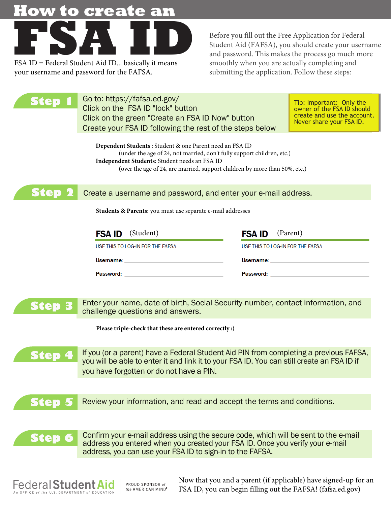# **How to create an**



your username and password for the FAFSA.

Before you fill out the Free Application for Federal Student Aid (FAFSA), you should create your username and password. This makes the process go much more smoothly when you are actually completing and submitting the application. Follow these steps:

| ten                                                                                                                                                                                                                                                              | Go to: https://fafsa.ed.gov/<br>Click on the FSA ID "lock" button<br>Click on the green "Create an FSA ID Now" button<br>Create your FSA ID following the rest of the steps below                                             | Tip: Important: Only the<br>owner of the FSA ID should<br>create and use the account.<br>Never share your FSA ID.                                                                                                              |
|------------------------------------------------------------------------------------------------------------------------------------------------------------------------------------------------------------------------------------------------------------------|-------------------------------------------------------------------------------------------------------------------------------------------------------------------------------------------------------------------------------|--------------------------------------------------------------------------------------------------------------------------------------------------------------------------------------------------------------------------------|
| Dependent Students: Student & one Parent need an FSA ID<br>(under the age of 24, not married, don't fully support children, etc.)<br>Independent Students: Student needs an FSA ID<br>(over the age of 24, are married, support children by more than 50%, etc.) |                                                                                                                                                                                                                               |                                                                                                                                                                                                                                |
| Ktep                                                                                                                                                                                                                                                             | Create a username and password, and enter your e-mail address.                                                                                                                                                                |                                                                                                                                                                                                                                |
|                                                                                                                                                                                                                                                                  | Students & Parents: you must use separate e-mail addresses                                                                                                                                                                    |                                                                                                                                                                                                                                |
|                                                                                                                                                                                                                                                                  | (Student)<br><b>FSA ID</b>                                                                                                                                                                                                    | (Parent)<br><b>FSA ID</b>                                                                                                                                                                                                      |
|                                                                                                                                                                                                                                                                  | USE THIS TO LOG-IN FOR THE FAFSA                                                                                                                                                                                              | USE THIS TO LOG-IN FOR THE FAFSA                                                                                                                                                                                               |
|                                                                                                                                                                                                                                                                  | Username: will be a series of the contract of the contract of the contract of the contract of the contract of the contract of the contract of the contract of the contract of the contract of the contract of the contract of | Username: with the contract of the contract of the contract of the contract of the contract of the contract of the contract of the contract of the contract of the contract of the contract of the contract of the contract of |
|                                                                                                                                                                                                                                                                  | Password: New York Password:                                                                                                                                                                                                  | Password: the contract of the contract of the contract of the contract of the contract of the contract of the contract of the contract of the contract of the contract of the contract of the contract of the contract of the  |

**Step 3** Enter your name, date of birth, Social Security number, contact information, and challenge questions and answers.

**Please triple-check that these are entered correctly :)** 

**Step 4** If you (or a parent) have a Federal Student Aid PIN from completing a previous FAFSA, you will be able to enter it and link it to your FSA ID. You can still create an FSA ID if you have forgotten or do not have a PIN.

**Step 5** Review your information, and read and accept the terms and conditions.

**Step 6** Confirm your e-mail address using the secure code, which will be sent to the e-mail address you entered when you created your FSA ID. Once you verify your e-mail address, you can use your FSA ID to sign-in to the FAFSA.



PROUD SPONSOR of the AMERICAN MIND® Now that you and a parent (if applicable) have signed-up for an FSA ID, you can begin filling out the FAFSA! (fafsa.ed.gov)